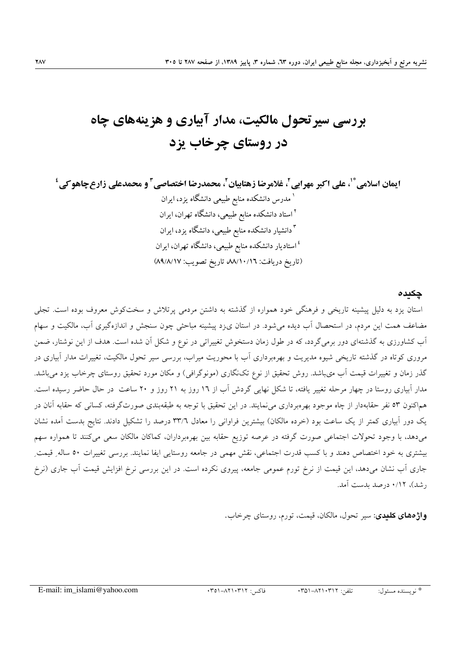# بررسی سیر تحول مالکیت، مدار آبیاری و هزینههای چاه در روستای چرخاب یزد

#### چکىدە

استان یزد به دلیل پیشینه تاریخی و فرهنگی خود همواره از گذشته به داشتن مردمی پرتلاش و سختکوش معروف بوده است. تجلی مضاعف همت این مردم، در استحصال آب دیده می شود. در استان ی;د پیشینه مباحثی چون سنجش و اندازهگیری آب، مالکیت و سهام آب کشاورزی به گذشتهای دور برم*ی گ*ردد، که در طول زمان دستخوش تغییراتی در نوع و شکل آن شده است. هدف از این نوشتار، ضمن مروری کوتاه در گذشته تاریخی شیوه مدیریت و بهرهبرداری آب با محوریت میراب، بررسی سیر تحول مالکیت، تغییرات مدار أبیاری در گذر زمان و تغییرات قیمت آب می باشد. روش تحقیق از نوع تکنگاری (مونوگرافی) و مکان مورد تحقیق روستای چرخاب یزد می باشد. مدار آبیاری روستا در چهار مرحله تغییر یافته، تا شکل نهایی گردش آب از ۱۲ روز به ۲۱ روز و ۲۰ ساعت در حال حاضر رسیده است. هماکنون ٥٣ نفر حقابهدار از چاه موجود بهرهبرداری می نمایند. در این تحقیق با توجه به طبقهبندی صورتگرفته، کسانی که حقابه آنان در یک دور آبیاری کمتر از یک ساعت بود (خرده مالکان) بیشترین فراوانی را معادل ۳۳/٦ درصد را تشکیل دادند. نتایج بدست آمده نشان میدهد، با وجود تحولات اجتماعی صورت گرفته در عرصه توزیع حقابه بین بهرهبرداران، کماکان مالکان سعی میکنند تا همواره سهم بيشتري به خود اختصاص دهند و با كسب قدرت اجتماعي، نقش مهمي در جامعه روستايي ايفا نمايند. بررسي تغييرات ٥٠ ساله ِ قيمت جاری آب نشان میدهد، این قیمت از نرخ تورم عمومی جامعه، پیروی نکرده است. در این بررسی نرخ افزایش قیمت آب جاری (نرخ ر شد)، ۰/۱۲ در صد بدست آمد.

**واژههای کلیدی**: سیر تحول، مالکان، قیمت، تورم، روستای چرخاب.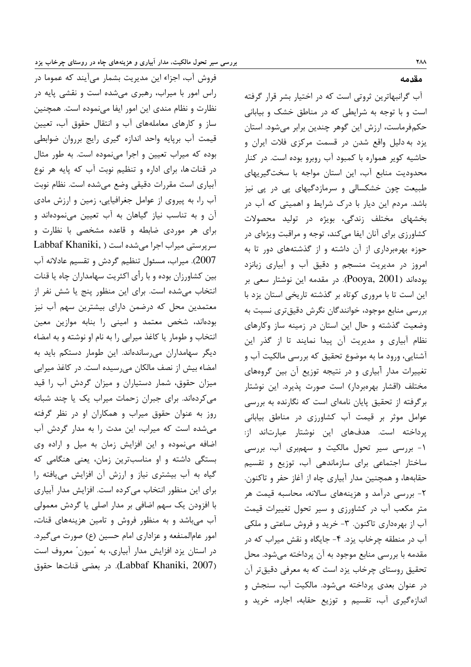فروش آب، اجزاء این مدیریت بشمار میآیند که عموما در راس امور با میراب، رهبری می شده است و نقشی پایه در نظارت و نظام مندی این امور ایفا می نموده است. همچنین ساز و کارهای معاملههای آب و انتقال حقوق آب، تعیین قیمت آب برپایه واحد اندازه گیری رایج برروان ضوابطی بوده که میراب تعیین و اجرا مینموده است. به طور مثال در قنات ها، برای اداره و تنظیم نوبت آب که پایه هر نوع آبیاری است مقررات دقیقی وضع میشده است. نظام نوبت آب را، به پیروی از عوامل جغرافیایی، زمین و ارزش مادی آن و به تناسب نیاز گیاهان به آب تعیین مینمودهاند و برای هر موردی ضابطه و قاعده مشخصی با نظارت و سرپرستی میراب اجرا می شده است ( ,Labbaf Khaniki 2007). میراب، مسئول تنظیم گردش و تقسیم عادلانه آب بین کشاورزان بوده و با رأی اکثریت سهامداران چاه یا قنات انتخاب میشده است. برای این منظور پنج یا شش نفر از معتمدین محل که درضمن دارای بیشترین سهم آب نیز بودهاند، شخص معتمد و امینی را بنابه موازین معین انتخاب و طومار یا کاغذ میرابی را به نام او نوشته و به امضاء دیگر سهامداران می رساندهاند. این طومار دستکم باید به امضاء بیش از نصف مالکان می رسیده است. در کاغذ میرابی میزان حقوق، شمار دستیاران و میزان گردش آب را قید می کردهاند. برای جبران زحمات میراب یک یا چند شبانه روز به عنوان حقوق میراب و همکاران او در نظر گرفته می شده است که میراب، این مدت را به مدار گردش آب اضافه مینموده و این افزایش زمان به میل و اراده وی بستگی داشته و او مناسبترین زمان، یعنی هنگامی که گیاه به آب بیشتری نیاز و ارزش آن افزایش می یافته را برای این منظور انتخاب می کرده است. افزایش مدار آبیاری با افزودن یک سهم اضافی بر مدار اصلی یا گردش معمولی آب میباشد و به منظور فروش و تامین هزینههای قنات، امور عامالمنفعه و عزاداری امام حسین (ع) صورت می گیرد. در استان يزد افزايش مدار آبياري، به "ميون" معروف است (Labbaf Khaniki, 2007). در بعضي قناتها حقوق

**TAA** مقدمه

آب گرانبهاترین ثروتی است که در اختیار بشر قرار گرفته است و با توجه به شرایطی که در مناطق خشک و بیابانی حکم فرماست، ارزش این گوهر چندین برابر می شود. استان یزد به دلیل واقع شدن در قسمت مرکزی فلات ایران و حاشیه کویر همواره با کمبود آب روبرو بوده است. در کنار محدودیت منابع آب، این استان مواجه با سختگیریهای طبیعت چون خشکسالی و سرمازدگیهای یی در یی نیز باشد. مردم این دیار با درک شرایط و اهمیتی که آب در بخشهای مختلف زندگی، بویژه در تولید محصولات کشاورزی برای آنان ایفا میکند، توجه و مراقبت ویژهای در حوزه بهرهبرداری از آن داشته و از گذشتههای دور تا به امروز در مدیریت منسجم و دقیق آب و آبیاری زبانزد بودهاند (Pooya, 2001). در مقدمه این نوشتار سعی بر این است تا با مروری کوتاه بر گذشته تاریخی استان یزد با بررسی منابع موجود، خوانندگان نگرش دقیقتری نسبت به وضعیت گذشته و حال این استان در زمینه ساز وکارهای نظام آبیاری و مدیریت آن پیدا نمایند تا از گذر این آشنایی، ورود ما به موضوع تحقیق که بررسی مالکیت آب و تغییرات مدار آبیاری و در نتیجه توزیع آن بین گروههای مختلف (اقشار بهرەبردار) است صورت پذیرد. این نوشتار برگرفته از تحقیق پایان نامهای است که نگارنده به بررسی عوامل موثر بر قیمت آب کشاورزی در مناطق بیابانی پرداخته است. هدفهای این نوشتار عبارتاند از: ۱- بررسی سیر تحول مالکیت و سهم بری آب، بررسی ساختار اجتماعی برای سازماندهی آب، توزیع و تقسیم حقابهها، و همچنین مدار آبیاری چاه از آغاز حفر و تاکنون. ۲- بررسی درآمد و هزینههای سالانه، محاسبه قیمت هر متر مکعب آب در کشاورزی و سیر تحول تغییرات قیمت آب از بهرهداری تاکنون. ۳- خرید و فروش ساعتی و ملکی آب در منطقه چرخاب یزد. ۴- جایگاه و نقش میراب که در مقدمه با بررسی منابع موجود به آن پرداخته میشود. محل تحقیق روستای چرخاب یزد است که به معرفی دقیقتر آن در عنوان بعدی پرداخته می شود. مالکیت آب، سنجش و اندازهگیری آب، تقسیم و توزیع حقابه، اجاره، خرید و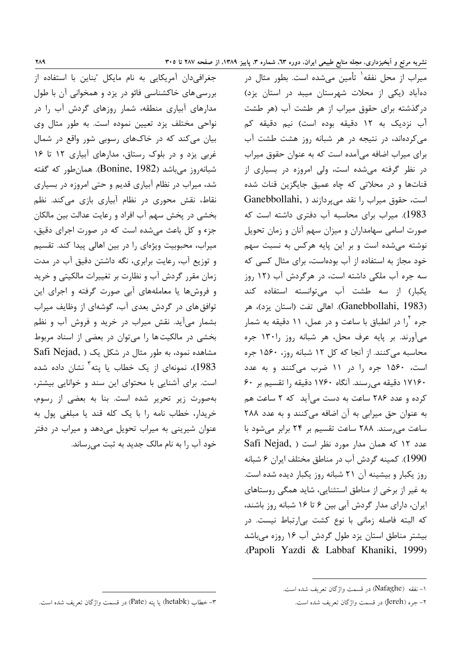جغرافی دان آمریکایی به نام مایکل بُناین با استفاده از بررسی های خاکشناسی فائو در یزد و همخوانی آن با طول مدارهای آبیاری منطقه، شمار روزهای گردش آب را در نواحی مختلف یزد تعیین نموده است. به طور مثال وی بیان می کند که در خاکهای رسوبی شور واقع در شمال غربی یزد و در بلوک رستاق، مدارهای آبیاری ١٢ تا ١۶ شبانه,وز می باشد (Bonine, 1982). همان طور که گفته شد، میراب در نظام آبیاری قدیم و حتی امروزه در بسیاری نقاط، نقش محوری در نظام آبیاری بازی میکند. نظم بخشی در یخش سهم آب افراد و رعایت عدالت بین مالکان جزء و کل باعث می شده است که در صورت اجرای دقیق، میراب، محبوبیت ویژهای را در بین اهالی پیدا کند. تقسیم و توزیع آب، رعایت برابری، نگه داشتن دقیق آب در مدت زمان مقرر گردش آب و نظارت بر تغییرات مالکیتی و خرید و فروشها یا معاملههای آبی صورت گرفته و اجرای این توافق های در گردش بعدی آب، گوشهای از وظایف میراب بشمار میآید. نقش میراب در خرید و فروش آب و نظم بخشی در مالکیت ها را میتوان در بعضی از اسناد مربوط Safi Nejad, ) مشاهده نمود، به طور مثال در شکل یک 1983)، نمونهای از یک خطاب یا یته<sup>۳</sup> نشان داده شده است. برای آشنایی با محتوای این سند و خوانایی بیشتر، بهصورت زير تحرير شده است. بنا به بعضى از رسوم، خريدار، خطاب نامه را با يک کله قند يا مبلغي يول به عنوان شیرینی به میراب تحویل میدهد و میراب در دفتر خود آب را به نام مالک جدید به ثبت میرساند.

میراب از محل نفقه<sup>۱</sup> تأمین می,شده است. بطور مثال در دهآباد (یکی از محلات شهرستان میبد در استان یزد) درگذشته برای حقوق میراب از هر طشت آب (هر طشت آب نزدیک به ۱۲ دقیقه بوده است) نیم دقیقه کم می کردهاند، در نتیجه در هر شبانه روز هشت طشت آب برای میراب اضافه میآمده است که به عنوان حقوق میراب در نظر گرفته می شده است، ولی امروزه در بسیاری از قناتها و در محلاتی که چاه عمیق جایگزین قنات شده است، حقوق میراب را نقد میپردازند ( Ganebbollahi, 1983). میراب برای محاسبه آب دفتری داشته است که صورت اسامی سهامداران و میزان سهم آنان و زمان تحویل نوشته می شده است و بر این پایه هرکس به نسبت سهم خود مجاز به استفاده از آب بودهاست، برای مثال کسی که سه جره آب ملکی داشته است، در هرگردش آب (۱۲ روز یکبار) از سه طشت آب می توانسته استفاده کند (Ganebbollahi, 1983). اهالی تفت (استان یزد)، هر جره آرا در انطباق با ساعت و در عمل، ۱۱ دقیقه به شمار میآورند. بر پایه عرف محل، هر شبانه روز را ۱۳۰ جره محاسبه می کنند. از آنجا که کل ۱۲ شبانه روز، ۱۵۶۰ جره است، ۱۵۶۰ جره را در ۱۱ ضرب می کنند و به عدد ۱۷۱۶۰ دقیقه می رسند. آنگاه ۱۷۶۰ دقیقه را تقسیم بر ۶۰ کرده و عدد ۲۸۶ ساعت به دست می آید که ۲ ساعت هم به عنوان حق میرابی به آن اضافه می کنند و به عدد ٢٨٨ ساعت می رسند. ۲۸۸ ساعت تقسیم بر ۲۴ برابر می شود با Safi Nejad, ) عدد ١٢ كه همان مدار مورد نظر است 1990). كمينه گردش آب در مناطق مختلف ايران ۶ شبانه روز یکبار و بیشینه آن ۲۱ شبانه روز یکبار دیده شده است. به غیر از برخی از مناطق استثنایی، شاید همگی روستاهای ایران، دارای مدار گردش آبی بین ۶ تا ۱۶ شبانه روز باشند، كه البته فاصله زمانى با نوع كشت بى ارتباط نيست. در بیشتر مناطق استان یزد طول گردش آب ۱۶ روزه میباشد .(Papoli Yazdi & Labbaf Khaniki, 1999)

١- نفقه (Nafaghe) در قسمت واژگان تعريف شده است.

۲– جره (Jereh) در قسمت واژگان تعریف شده است.

٣- خطاب (hetabk) يا يته (Pate) در قسمت واژگان تعريف شده است.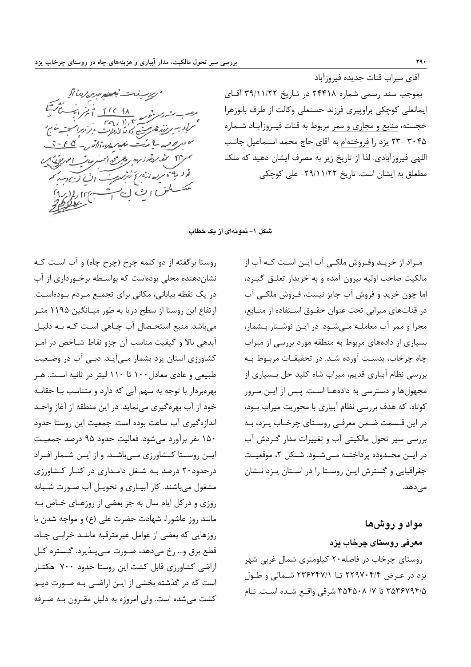

آقای میراب قنات جدیده فیروزآباد بموجب سند رسمی شماره ۲۴۴۱۸ در تاریخ ۳۹/۱۱/۲۲ آقای ايمانعلى كوچكى براوپيرى فرزند حسنعلى وكالت از طرف بانوزهرا خجسته، منابع و مجاري و ممر مربوط به قنات فيـروزآبـاد شـماره ۴۰۴۵ -۲۳ یزد را فروختهام به آقای حاج محمد اســماعیل جانـب اللهي فيروزآبادي. لذا از تاريخ زير به مصرف ايشان دهيد كه ملك مطعلق به ایشان است. تاریخ ۲۹/۱۱/۲۲- علی کوچکی

شکل ۱– نمونهای از یک خطاب

روستا برگفته از دو کلمه چرخ (چرخ چاه) و آب است کـه نشاندهنده محلی بودهاست که بواسـطه برخـورداری از آب در یک نقطه بیابانی، مکانی برای تجمـع مـردم بـودهاسـت. ارتفاع این روستا از سطح دریا به طور میـانگین ۱۱۹۵ متـر می باشد. منبع استحـصال آب چـاهی اسـت کـه بـه دليـل آبدهی بالا و کیفیت مناسب آن جزو نقاط شـاخص در امـر کشاورزی استان یزد بشمار مے آیـد. دبـی آب در وضـعیت طبیعی و عادی معادل ۱۰۰ تا ۱۱۰ لیتر در ثانیه است. هـر بهرهبردار با توجه به سهم آبی که دارد و متناسب بـا حقابـه خود از آب بهره گیری مینماید. در این منطقه از آغاز واحـد اندازهگیری آب ساعت بوده است. جمعیت این روستا حدود ۱۵۰ نفر برآورد میشود. فعالیت حدود ۹۵ درصد جمعیت ایـن روسـتا كـشاورزى مـىباشـد. و از ایـن شـمار افـراد درحدود۲۰ درصد بـه شـغل دامـداری در کنـار کـشاورزی مشغول میباشند. کار آبیـاری و تحویـل آب صـورت شـبانه روزی و در کل ایام سال به جز بعضی از روزهـای خـاص بـه مانند روز عاشورا، شهادت حضرت علی (ع) و مواجه شدن با روزهایی که بعضی از عوامل غیرمترقبه ماننـد خرابـی چـاه، قطع برق و... رخ مي دهد، صـورت مـي پــذيرد. گــستره كــل اراضی کشاورزی قابل کشت این روستا حدود ۷۰۰ هکتـار است که در گذشته بخشی از ایـن اراضـی بـه صـورت دیـم كشت مى شده است. ولى امروزه به دليل مقـرون بـه صـرفه

مـراد از خریــد وفـروش ملکــی آب ایــن اســت کــه آب از مالکیت صاحب اولیه بیرون آمده و به خریدار تعلـق گیـرد، اما چون خرید و فروش آب جایز نیست، فـروش ملکـی آب در قناتهای میرابی تحت عنوان حقـوق اسـتفاده از منـابع، مجرا و ممر آب معاملـه مـیشـود. در ایـن نوشـتار بـشمار، بسیاری از دادههای مربوط به منطقه مورد بررسی از میراب چاه چرخاب، بدست آورده شـد. در تحقیقـات مربـوط بـه بررسی نظام آبیاری قدیم، میراب شاه کلید حل بـسیاری از مجهولها و دسترسی به دادههـا اسـت. پـس از ایـن مـرور کوتاه، که هدف بررسی نظام آبیاری با محوریت میراب بـود، در این قـسمت ضـمن معرفـی روسـتای چرخـاب پـزد، بـه بررسی سیر تحول مالکیتی آب و تغییرات مدار گردش آب در ایـن محـدوده پرداختـه مـیشـود. شـكل ۲، موقعیـت جغرافیایی و گسترش ایـن روسـتا را در اسـتان يـزد نـشان مے ٖدھد.

مواد و روشها معرفی روستای چرخاب پزد روستای چرخاب در فاصله ۲۰ کیلومتری شمال غربی شهر یزد در عرض ۲۲۹۷۰۴/۴ تا ۲۳۶۲۴۷/۱ شـمالی و طـول ۳۵۳۶۷۹۴/۵ تا ۲۵۴۵۰۸ شرقی واقع شده است. نـام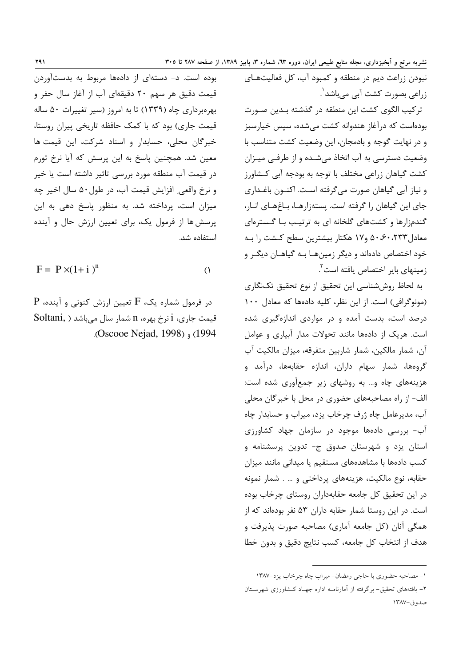نبودن زراعت ديم در منطقه و كمبود آب، كل فعاليتهـاي زراعی بصورت کشت آبی می باشد<sup>'</sup>. تركيب الگوى كشت اين منطقه در گذشته بـدين صـورت

بودهاست که درآغاز هندوانه کشت می شده، سیس خیارسبز و در نهایت گوجه و بادمجان، این وضعیت کشت متناسب با وضعیت دسترسی به آب اتخاذ میشده و از طرفی میـزان کشت گیاهان زراعی مختلف با توجه به بودجه آبی کـشاورز و نياز آبي گياهان صورت مي گرفته است. اکنــون باغــداري جای این گیاهان را گرفته است. پستهزارهـا، بـاغهـای انـار، گندمزارها و کشتهای گلخانه ای به ترتیب بـا گـسترهای معادل ۲۳۳، ۵۰،۶۰ و۱۷ هکتار بیشترین سطح کـشت را بـه خود اختصاص دادهاند و دیگر زمینهـا بـه گیاهـان دیگـر و زمینهای بایر اختصاص یافته است<sup>۲</sup>.

به لحاظ روششناسی این تحقیق از نوع تحقیق تکنگاری (مونوگرافی) است. از این نظر، کلیه دادهها که معادل ١٠٠ درصد است، بدست آمده و در مواردی اندازهگیری شده است. هریک از دادهها مانند تحولات مدار آبیاری و عوامل آن، شمار مالكين، شمار شاربين متفرقه، ميزان مالكيت آب گروهها، شمار سهام داران، اندازه حقابهها، درآمد و هزینههای چاه و... به روشهای زیر جمعآوری شده است: الف- از راه مصاحبههای حضوری در محل با خبرگان محلی آب، مدیرعامل چاه ژرف چرخاب یزد، میراب و حسابدار چاه آب- بررسی دادهها موجود در سازمان جهاد کشاورزی استان یزد و شهرستان صدوق ج- تدوین پرسشنامه و کسب دادهها با مشاهدههای مستقیم یا میدانی مانند میزان حقابه، نوع مالكيت، هزينههاي پرداختي و ... . شمار نمونه در این تحقیق کل جامعه حقابهداران روستای چرخاب بوده است. در این روستا شمار حقابه داران ۵۳ نفر بودهاند که از همگی آنان (کل جامعه آماری) مصاحبه صورت پذیرفت و هدف از انتخاب كل جامعه، كسب نتايج دقيق و بدون خطا

بوده است. د- دستهای از دادهها مربوط به بدستآوردن قیمت دقیق هر سهم ۲۰ دقیقهای آب از آغاز سال حفر و بهرهبرداری چاه (۱۳۳۹) تا به امروز (سیر تغییرات ۵۰ ساله قیمت جاری) بود که با کمک حافظه تاریخی پیران روستا، خبرگان محلی، حسابدار و اسناد شرکت، این قیمت ها معین شد. همچنین پاسخ به این پرسش که آیا نرخ تورم در قیمت آب منطقه مورد بررسی تاثیر داشته است یا خیر و نرخ واقعي ِ افزايش قيمت آب، در طول ۵۰ سال اخير چه میزان است، پرداخته شد. به منظور پاسخ دهی به این پرسش ها از فرمول یک، برای تعیین ارزش حال و آینده استفاده شد.

$$
F = P \times (1 + i)^n
$$

 $\big($ 

 $P$  در فرمول شماره یک،  $F$  تعیین ارزش کنونی و آینده، قیمت جاری، i نرخ بهره، n شمار سال میباشد ( Soltani, .(Oscooe Nejad, 1998), (1994

١- مصاحبه حضوري با حاجي رمضان- ميراب چاه چرخاب يزد-١٣٨٧

۲– یافتههای تحقیق– برگرفته از آمارنامــه اداره جهـاد کــشاورزی شهرســتان صدوق-١٣٨٧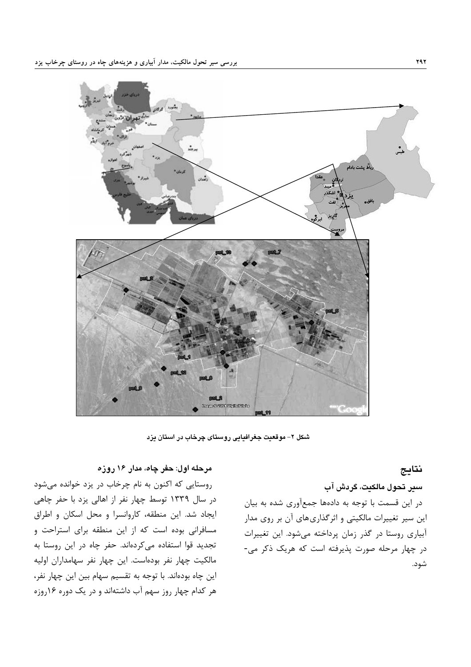

شکل ۲- موقعیت جغرافیایی روستای چرخاب در استان یزد

#### نتايج

سير تحول مالكيت، گردش آب

در این قسمت با توجه به دادهها جمعآوری شده به بیان این سیر تغییرات مالکیتی و اثرگذاریهای آن بر روی مدار آبیاری روستا در گذر زمان پرداخته می شود. این تغییرات در چهار مرحله صورت پذیرفته است که هریک ذکر می-شود.

### مرحله اول: حغر چاه، مدار ۱۶ روزه

روستایی که اکنون به نام چرخاب در یزد خوانده میشود در سال ۱۳۳۹ توسط چهار نفر از اهالی یزد با حفر چاهی ايجاد شد. اين منطقه، كاروانسرا و محل اسكان و اطراق مسافرانی بوده است که از این منطقه برای استراحت و تجدید قوا استفاده میکردهاند. حفر چاه در این روستا به مالکیت چهار نفر بودهاست. این چهار نفر سهامداران اولیه این چاه بودهاند. با توجه به تقسیم سهام بین این چهار نفر، هر کدام چهار روز سهم آب داشتهاند و در یک دوره ۱۶روزه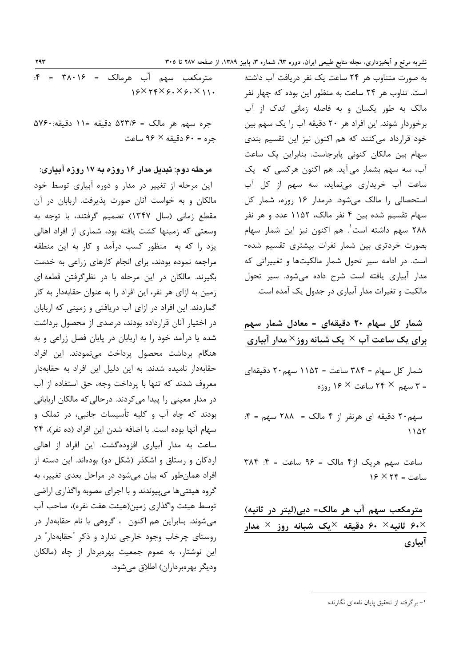به صورت متناوب هر ۲۴ ساعت یک نفر دریافت آب داشته است. تناوب هر ۲۴ ساعت به منظور این بوده که چهار نفر مالک به طور یکسان و به فاصله زمانی اندک از آب برخوردار شوند. این افراد هر ۲۰ دقیقه آب را یک سهم بین خود قرارداد می کنند که هم اکنون نیز این تقسیم بندی سهام بين مالكان كنوني پابرجاست. بنابراين يک ساعت آب، سه سهم بشمار می آید. هم اکنون هرکسی که یک ساعت آب خریداری مینماید، سه سهم از کل آب استحصالی را مالک میشود. درمدار ۱۶ روزه، شمار کل سهام تقسیم شده بین ۴ نفر مالک، ۱۱۵۲ عدد و هر نفر ٢٨٨ سهم داشته است<sup>١</sup>. هم اكنون نيز اين شمار سهام بصورت خردتری بین شمار نفرات بیشتری تقسیم شده-است. در ادامه سیر تحول شمار مالکیتها و تغییراتی که مدار آبیاری یافته است شرح داده می شود. سیر تحول مالکیت و تغیرات مدار آبیاری در جدول یک آمده است.

شمار کل سهام ۲۰ دقیقهای = معادل شمار سهم برای یک ساعت آب $\times$  یک شبانه روز $\times$  مدار آبیاری

شمار کل سهام = ۳۸۴ ساعت = ۱۱۵۲ سهم۲۰ دقیقهای  $_{\text{e.g.}}$  ۳ سهم × ۲۴ ساعت × ۱۶ روزه

سهم۲۰ دقیقه ای هرنفر از ۴ مالک = ۲۸۸ سهم = ۴:  $1107$ 

 $Y\wedge F = \pm 9$ ساعت سهم هريک از ۴ مالک = ۶۶ ساعت = ۴:  $15 \times 15 = 12$ ساعت

مترمکعب سهم آب هر مالک= دبی(لیتر در ثانیه) ثانيه $\times$  ۶۰ دقيقه  $\times$ يک شبانه روز  $\times$  مدار  $\times$ آبیاری

 $\mathbf{f} = \mathbf{f} \wedge \mathbf{f}$ مترمكعب سهم آب هرمالك = ٣٨٠١۶ = ۴:  $19XYYX9. X9. X11.$ 

جره سهم هر مالک = ۵۲۳/۶ دقیقه =۱۱ دقیقه:۵۷۶۰  $\epsilon$ جره = ۶۰ دقیقه $\mathcal{S} \times \mathcal{S}$  ساعت

مرحله دوم: تبدیل مدار ۱۶ روزه به ۱۷ روزه آبیاری: این مرحله از تغییر در مدار و دوره آبیاری توسط خود مالکان و به خواست آنان صورت پذیرفت. اربابان در آن مقطع زمانی (سال ۱۳۴۷) تصمیم گرفتند، با توجه به وسعتی که زمینها کشت یافته بود، شماری از افراد اهالی یزد را که به منظور کسب درآمد و کار به این منطقه مراجعه نموده بودند، برای انجام کارهای زراعی به خدمت بگیرند. مالکان در این مرحله با در نظرگرفتن قطعه ای زمین به ازای هر نفر، این افراد را به عنوان حقابهدار به کار گماردند. این افراد در ازای آب دریافتی و زمینی که اربابان در اختیار آنان قرارداده بودند، درصدی از محصول برداشت شده یا درآمد خود را به اربابان در پایان فصل زراعی و به هنگام برداشت محصول پرداخت مینمودند. این افراد حقابهدار نامیده شدند. به این دلیل این افراد به حقابهدار معروف شدند که تنها با پرداخت وجه، حق استفاده از آب در مدار معینی را پیدا می کردند. درحالی که مالکان اربابانی بودند که چاه آب و کلیه تأسیسات جانبی، در تملک و سهام آنها بوده است. با اضافه شدن این افراد (ده نفر)، ۲۴ ساعت به مدار آبیاری افزودهگشت. این افراد از اهالی اردکان و رستاق و اشکذر (شکل دو) بودهاند. این دسته از افراد همان طور که بیان میشود در مراحل بعدی تغییر، به گروه هیئتیها میپیوندند و با اجرای مصوبه واگذاری اراضی توسط هيئت واگذاري زمين(هيئت هفت نفره)، صاحب آب میشوند. بنابراین هم اکنون ، گروهی با نام حقابهدار در روستای چرخاب وجود خارجی ندارد و ذکر "حقابهدار" در این نوشتار، به عموم جمعیت بهرهبردار از چاه (مالکان وديگر بهروبرداران) اطلاق مي شود.

**<sup>79</sup>٣** 

۱- برگرفته از تحقیق پایان نامهای نگارنده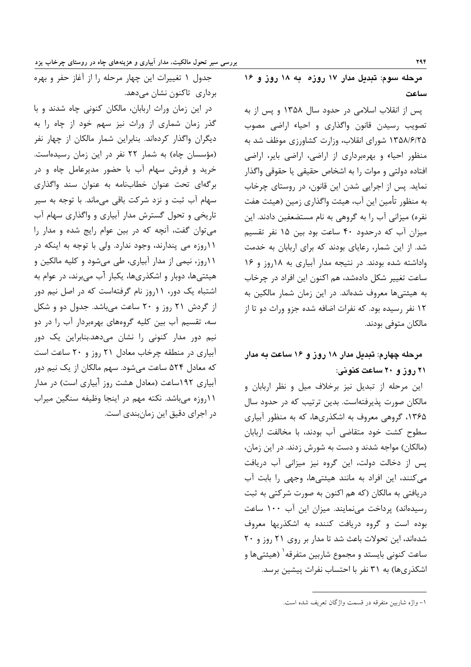مرحله سوم: تبدیل مدار ۱۷ روزه به ۱۸ روز و ۱۶ ساعت

پس از انقلاب اسلامی در حدود سال ۱۳۵۸ و پس از به تصویب رسیدن قانون واگذاری و احیاء اراضی مصوب ۱۳۵۸/۶/۲۵ شورای انقلاب، وزارت کشاورزی موظف شد به منظور احیاء و بهرهبرداری از اراضی، اراضی بایر، اراضی افتاده دولتي و موات را به اشخاص حقيقي يا حقوقي واگذار نماید. پس از اجرایی شدن این قانون، در روستای چرخاب به منظور تأمين اين آب، هيئت واگذاري زمين (هيئت هفت نفره) میزانی آب را به گروهی به نام مستضعفین دادند. این میزان آب که درحدود ۴۰ ساعت بود بین ۱۵ نفر تقسیم شد. از این شمار، رعایای بودند که برای اربابان به خدمت واداشته شده بودند. در نتیجه مدار آبیاری به ۱۸روز و ۱۶ ساعت تغییر شکل دادهشد، هم اکنون این افراد در چرخاب به هیئتیها معروف شدهاند. در این زمان شمار مالکین به ۱۲ نفر , سیده بود. که نفرات اضافه شده جزو وراث دو تا از مالكان متوفى بودند.

### مرحله چهارم: تبدیل مدار ۱۸ روز و ۱۶ ساعت به مدار ۲۱ روز و ۲۰ ساعت کنونی:

این مرحله از تبدیل نیز برخلاف میل و نظر اربابان و مالکان صورت پذیرفتهاست. بدین ترتیب که در حدود سال ۱۳۶۵، گروهی معروف به اشکذریها، که به منظور آبیاری سطوح کشت خود متقاضی آب بودند، با مخالفت اربابان (مالکان) مواجه شدند و دست به شورش زدند. در این زمان، یس از دخالت دولت، این گروه نیز میزانی آب دریافت میکنند، این افراد به مانند هیئتیها، وجهی را بابت آب دریافتی به مالکان (که هم اکنون به صورت شرکتی به ثبت رسیدهاند) پرداخت می نمایند. میزان این آب ۱۰۰ ساعت بوده است و گروه دریافت کننده به اشکذریها معروف شدهاند، این تحولات باعث شد تا مدار بر روی ۲۱ روز و ۲۰ ساعت کنونی بایستد و مجموع شاربین متفرقه ٰ (هیئتیها و اشکذریها) به ۳۱ نفر با احتساب نفرات پیشین برسد.

در این زمان وراث اربابان، مالکان کنونی چاه شدند و با گذر زمان شماری از وراث نیز سهم خود از چاه را به دیگران واگذار کردهاند. بنابراین شمار مالکان از چهار نفر (مؤسسان چاه) به شمار ٢٢ نفر در این زمان رسیدهاست. خرید و فروش سهام آب با حضور مدیرعامل چاه و در برگهای تحت عنوان خطابنامه به عنوان سند واگذاری سهام آب ثبت و نزد شركت باقى مىماند. با توجه به سير تاریخی و تحول گسترش مدار آبیاری و واگذاری سهام آب می توان گفت، آنچه که در بین عوام رایج شده و مدار را ۱۱روزه می پندارند، وجود ندارد. ولی با توجه به اینکه در ۱۱روز، نیمی از مدار آبیاری، طی میشود و کلیه مالکین و هیئتیها، دوبار و اشکذریها، یکبار آب میبرند، در عوام به اشتباه یک دور، ۱۱روز نام گرفتهاست که در اصل نیم دور از گردش ٢١ روز و ٢٠ ساعت مي باشد. جدول دو و شكل سه، تقسیم آب بین کلیه گروههای بهرهبردار آب را در دو نیم دور مدار کنونی را نشان میدهد.بنابراین یک دور آبیاری در منطقه چرخاب معادل ۲۱ روز و ۲۰ ساعت است که معادل ۵۲۴ ساعت می شود. سهم مالکان از یک نیم دور آبیاری ۱۹۲ساعت (معادل هشت روز آبیاری است) در مدار ١١روزه مىباشد. نكته مهم در اينجا وظيفه سنگين ميراب در اجرای دقیق این زمان بندی است.

**794** 

جدول ۱ تغییرات این چهار مرحله را از آغاز حفر و بهره برداری تاکنون نشان میدهد.

١- واژه شاربين متفرقه در قسمت واژگان تعريف شده است.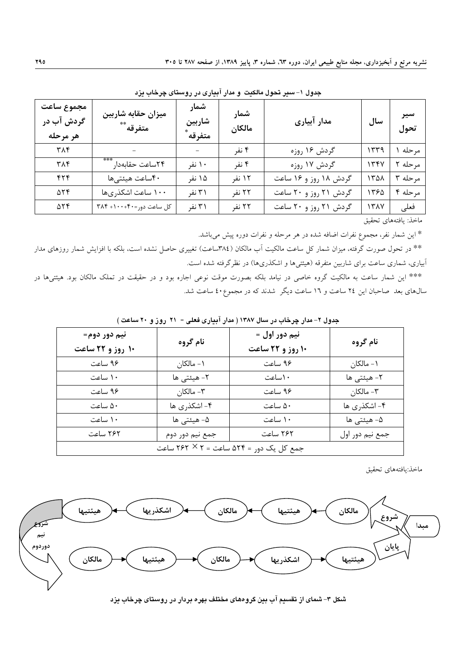| مجموع ساعت<br>گردش آب در<br>هر مرحله | ميزان حقابه شاربين<br>متفرقه ** | شمار<br>شاربين<br>متفرقه ً | شمار<br>مالكان | مدار آبیاری           | سال  | سير<br>تحول |
|--------------------------------------|---------------------------------|----------------------------|----------------|-----------------------|------|-------------|
| ۳۸۴                                  |                                 |                            | ۴ نفر          | گردش ۱۶ روزه          | ۱۳۳۹ | مر حله      |
| ۳۸۴                                  | ***<br>٢۴ساعت حقابهدار          | ۱۰ نفر                     | ۴ نفر          | گردش ۱۷ روزه          | ۱۳۴۷ | مرحله       |
| ۴۲۴                                  | ۴۰ساعت هیئتیها                  | ۱۵ نفر                     | ۱۲ نفر         | گردش ۱۸ روز و ۱۶ ساعت | 1321 | مرحله ٣     |
| $\Delta \Upsilon \Upsilon$           | ۱۰۰ ساعت اشکذریها               | ۳۱ نفر                     | ۲۲ نفر         | گردش ۲۱ روز و ۲۰ ساعت | 1390 | مرحله ۴     |
| $\Delta \Upsilon \Upsilon$           | کل ساعت دور=۴۰+ ۳۸۴+            | ۳۱ نفر                     | ۲۲ نفر         | گردش ۲۱ روز و ۲۰ ساعت | 1317 | فعلى        |

جدول ۱-سیر تحول مالکیت و مدار آبیاری در روستای چرخاب یزد

ماخذ: يافتههاي تحقيق

\* این شمار نفر، مجموع نفرات اضافه شده در هر مرحله و نفرات دوره پیش میباشد.

\*\* در تحول صورت گرفته، میزان شمار کل ساعت مالکیت آب مالکان (۳۸٤ساعت) تغییری حاصل نشده است، بلکه با افزایش شمار روزهای مدار آبیاری، شماری ساعت برای شاربین متفرقه (هیئتیها و اشکذریها) در نظرگرفته شده است.

\*\*\* این شمار ساعت به مالکیت گروه خاصی در نیامد بلکه بصورت موقت نوعی اجاره بود و در حقیقت در تملک مالکان بود. هیئتیها در سال های بعد صاحبان این ۲٤ ساعت و ١٦ ساعت دیگر ً شدند که در مجموع٤٠ ساعت شد.

| نيم دور دوم=<br>۱۰ روز و ۲۲ ساعت        | نام گروه        | نيم دور اول =<br>۱۰ روز و ۲۲ ساعت | نام گروه        |  |  |  |
|-----------------------------------------|-----------------|-----------------------------------|-----------------|--|--|--|
| ۹۶ ساعت                                 | ۰۱ - مالکان     | ۹۶ ساعت                           | ۰۱ - مالکان     |  |  |  |
| ١٠ ساعت                                 | ٢- هيئتي ها     | ۱۰ ساعت                           | ٢- هيئتي ها     |  |  |  |
| ۹۶ ساعت                                 | - مالكان $-1$   | ۹۶ ساعت                           | ۳- مالکان       |  |  |  |
| ۵۰ ساعت                                 | ۴- اشکذری ها    | ۵۰ ساعت                           | ۴- اشکذری ها    |  |  |  |
| ۱۰ ساعت                                 | ۵– هیئتی ها     | ۱۰ ساعت                           | ۵– هیئتی ها     |  |  |  |
| ۲۶۲ ساعت                                | جمع نيم دور دوم | ۲۶۲ ساعت                          | جمع نيم دور اول |  |  |  |
| جمع کل یک دور = ۵۲۴ ساعت = ۲ × ۲۶۲ ساعت |                 |                                   |                 |  |  |  |

جدول ۲- مدار چرخاب در سال ۱۳۸۷ ( مدار آبیاری فعلی = ۲۱ روز و ۲۰ ساعت )

ماخذ:يافتههاي تحقيق



شکل ۳– شمای از تقسیم آب بین گروههای مختلف بهره بردار در روستای چرخاب یزد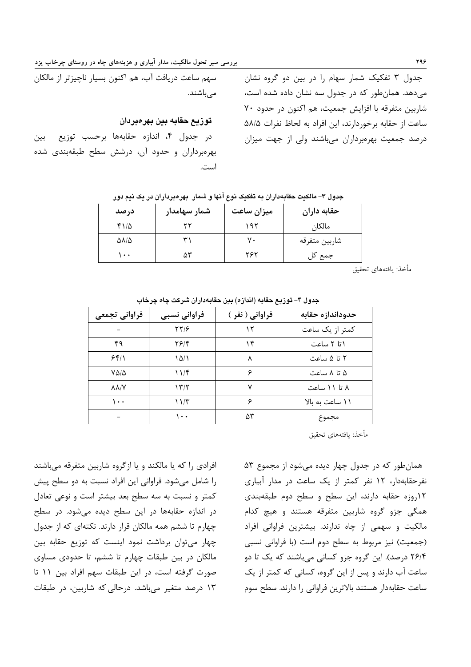جدول ۳ تفکیک شمار سهام را در بین دو گروه نشان میدهد. همانطور که در جدول سه نشان داده شده است، شاربين متفرقه با افزايش جمعيت، هم اكنون در حدود ٧٠ ساعت از حقابه برخوردارند، این افراد به لحاظ نفرات ۵۸/۵ درصد جمعیت بهرهبرداران میباشند ولی از جهت میزان

توزيع حقابه بين بهرەبردان

در جدول ۴، اندازه حقابهها برحسب توزيع بين بهرهبرداران وحدود آن، درشش سطح طبقهبندی شده است

| جدول ۳- مالکیت حقابهداران به تفکیک نوع آنها و شمار   بهرهبرداران در یک نیم دور |  |  |
|--------------------------------------------------------------------------------|--|--|
|                                                                                |  |  |
|                                                                                |  |  |
|                                                                                |  |  |

| در صد | شمار سهامدار | ميزان ساعت | حقابه داران   |
|-------|--------------|------------|---------------|
| ۱۱۵   |              | ۱۹۲        | مالكان        |
| ۵۸/۵  |              | ٧.         | شاربين متفرقه |
| ۰۰۱   | ۵۳           | ۲۶۲        | جمع کل        |

مأخذ: يافتههاي تحقيق

| فراوانى تجمعى    | فراوانی نسبی | فراواني ( نفر ) | حدوداندازه حقابه |
|------------------|--------------|-----------------|------------------|
|                  | 7718         | ۱۲              | کمتر از یک ساعت  |
| ۴۹               | 2814         | ۱۴              | ۱تا ۲ ساعت       |
| 551              | ۱۵/۱         | ٨               | ۲ تا ۵ ساعت      |
| $V\Delta/\Delta$ | 117          | ۶               | ۵ تا ۸ ساعت      |
| <b>AA/Y</b>      | ۱۳/۲         | ۷               | ۸ تا ۱۱ ساعت     |
| ۱۰۰              | ۱۱/۳         | ۶               | ۱۱ ساعت به بالا  |
|                  | ۰۰۱          | ۵٣              | مجموع            |

جدول ۴– توزیع حقابه (اندازه) بین حقابهداران شرکت چاه چرخاب

مأخذ: يافتههاي تحقيق

افرادی را که یا مالکند و یا ازگروه شاربین متفرقه میباشند را شامل مے شود. فراوانی این افراد نسبت به دو سطح پیش کمتر و نسبت به سه سطح بعد بیشتر است و نوعی تعادل در اندازه حقابهها در این سطح دیده می شود. در سطح چهارم تا ششم همه مالکان قرار دارند. نکتهای که از جدول چهار می توان برداشت نمود اینست که توزیع حقابه بین مالکان در بین طبقات چهارم تا ششم، تا حدودی مساوی صورت گرفته است، در این طبقات سهم افراد بین ١١ تا ۱۳ درصد متغیر میباشد. درحالی که شاربین، در طبقات

همان طور که در جدول چهار دیده می شود از مجموع ۵۳ نفرحقابهدار، ١٢ نفر كمتر از یک ساعت در مدار آبیاری ١٢روزه حقابه دارند، اين سطح و سطح دوم طبقهبندى همگی جزو گروه شاربین متفرقه هستند و هیچ کدام مالکیت و سهمی از چاه ندارند. بیشترین فراوانی افراد (جمعیت) نیز مربوط به سطح دوم است (با فراوانی نسبی ۲۶/۴ درصد). این گروه جزو کسانی میباشند که یک تا دو ساعت آب دارند و پس از این گروه، کسانی که کمتر از یک ساعت حقابهدار هستند بالاترين فراواني را دارند. سطح سوم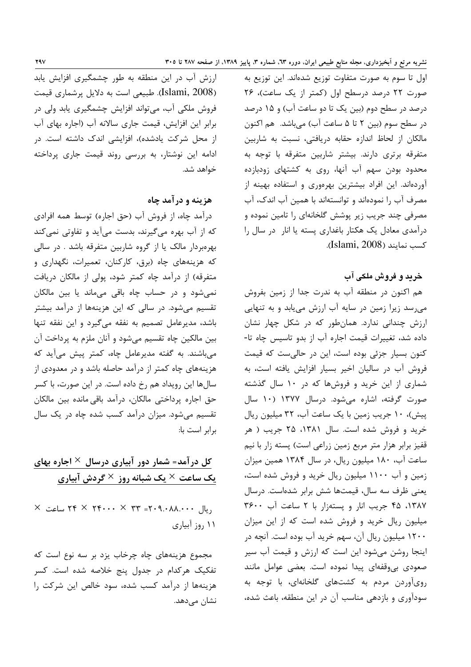اول تا سوم به صورت متفاوت توزيع شدهاند. اين توزيع به صورت ٢٢ درصد درسطح اول (كمتر از يک ساعت)، ٢۶ درصد در سطح دوم (بین یک تا دو ساعت آب) و ۱۵ درصد در سطح سوم (بین ۲ تا ۵ ساعت آب) میباشد. هم اکنون مالکان از لحاظ اندازه حقابه دریافتی، نسبت به شاربین متفرقه برتری دارند. بیشتر شاربین متفرقه با توجه به محدود بودن سهم آب آنها، روی به کشتهای زودبازده آوردهاند. این افراد بیشترین بهرهوری و استفاده بهینه از مصرف آب را نمودهاند و توانستهاند با همین آب اندک، آب مصرفی چند جریب زیر پوشش گلخانهای را تامین نموده و درآمدی معادل یک هکتار باغداری پسته یا انار در سال را كسب نمايند (Islami, 2008).

#### خرید و فروش ملکی آب

هم اکنون در منطقه آب به ندرت جدا از زمین بفروش می رسد زیرا زمین در سایه آب ارزش می یابد و به تنهایی ارزش چندانی ندارد. همانطور که در شکل چهار نشان داده شد، تغییرات قیمت اجاره آب از بدو تاسیس چاه تا-کنون بسیار جزئی بوده است، این در حالی ست که قیمت فروش آب در سالیان اخیر بسیار افزایش یافته است، به شماری از این خرید و فروشها که در ۱۰ سال گذشته صورت گرفته، اشاره می شود. درسال ۱۳۷۷ (۱۰ سال ییش)، ۱۰ جریب زمین با یک ساعت آب، ۳۲ میلیون ریال خرید و فروش شده است. سال ۱۳۸۱، ۲۵ جریب ( هر قفیز برابر هزار متر مربع زمین زراعی است) پسته زار با نیم ساعت آب، ۱۸۰ میلیون ریال، در سال ۱۳۸۴ همین میزان زمین و آب ۱۱۰۰ میلیون ریال خرید و فروش شده است، یعنی ظرف سه سال، قیمتها شش برابر شدهاست. درسال ١٣٨٧، ۴۵ جريب انار ويستهزار با ٢ ساعت آب ٣۶٠٠ میلیون ریال خرید و فروش شده است که از این میزان ۱۲۰۰ میلیون ریال آن، سهم خرید آب بوده است. آنچه در اینجا روشن میشود این است که ارزش و قیمت آب سیر صعودی بی وقفهای پیدا نموده است. بعضی عوامل مانند رویآوردن مردم به کشتهای گلخانهای، با توجه به سودآوری و بازدهی مناسب آن در این منطقه، باعث شده،

ارزش آب در این منطقه به طور چشمگیری افزایش یابد (Islami, 2008). طبیعی است به دلایل پرشماری قیمت فروش ملکی آب، میتواند افزایش چشمگیری یابد ولی در برابر این افزایش، قیمت جاری سالانه آب (اجاره بهای آب از محل شرکت یادشده)، افزایشی اندک داشته است. در ادامه این نوشتار، به بررسی روند قیمت جاری پرداخته خواهد شد.

#### هزینه و درآمد چاه

درآمد چاه، از فروش آب (حق اجاره) توسط همه افرادی که از آب بهره میگیرند، بدست میآید و تفاوتی نمیکند بهرهبردار مالک یا از گروه شاربین متفرقه باشد . در سالی كه هزینههای چاه (برق، كاركنان، تعمیرات، نگهداری و متفرقه) از درآمد چاه کمتر شود، پولی از مالکان دریافت نمیشود و در حساب چاه باقی میماند یا بین مالکان تقسیم مے،شود. در سالے که این هزینهها از درآمد بیشتر باشد، مدیرعامل تصمیم به نفقه میگیرد و این نفقه تنها بین مالکین چاه تقسیم میشود و آنان ملزم به پرداخت آن می باشند. به گفته مدیرعامل چاه، کمتر پیش می آید که هزینههای چاه کمتر از درآمد حاصله باشد و در معدودی از سالها این رویداد هم رخ داده است. در این صورت، با کسر حق اجارہ پرداختی مالکان، درآمد باقی ماندہ بین مالکان تقسیم می شود. میزان درآمد کسب شده چاه در یک سال برابر است با:

# کل در آمد= شمار دور آبیاری درسال × اجاره بهای یک ساعت $\times$  یک شبانه روز  $\times$  گردش آبیاری

 $\times$  بیال ۲۴ × ۲۴۰۰۰ × ۲۴۰۰۰ × ۲۴۰ ساعت  $\times$ ۱۱ ,وز آبیا,ی

مجموع هزینههای چاه چرخاب یزد بر سه نوع است که تفکیک هرکدام در جدول پنج خلاصه شده است. کسر هزینهها از درآمد کسب شده، سود خالص این شرکت را نشان می،دهد.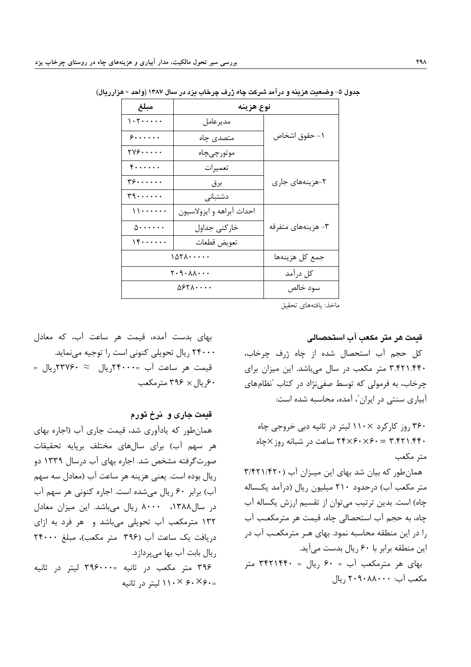| مبلغ                                                 | نوع هزينه                 |                    |  |
|------------------------------------------------------|---------------------------|--------------------|--|
| 1.5<br>مديرعامل                                      |                           |                    |  |
| 5.<br>متصدی چاه                                      |                           | ١- حقوق اشخاص      |  |
| $\gamma \gamma$ ۶<br>موتورچىچاە                      |                           |                    |  |
| $\mathfrak{r}$                                       | تعميرات                   |                    |  |
| $\mathbf{y} \mathbf{y} \dots \mathbf{y}$<br>برق      |                           | ۲-هزینههای جاری    |  |
| $r_1, \ldots, r_n$                                   | دشتبانى                   |                    |  |
| $\{\cdot, \cdot, \cdot, \cdot\}$                     | احداث آبراهه و ايزولاسيون |                    |  |
| $\Delta$                                             | خاركنى جداول              | ۳- هزینههای متفرقه |  |
| 15<br>تعويض قطعات                                    |                           |                    |  |
| 1071                                                 | جمع كل هزينهها            |                    |  |
| $Y \cdot \mathcal{A} \cdot \mathcal{A} \cdot \cdots$ | كل درآمد                  |                    |  |
|                                                      | سود خالص                  |                    |  |

جدول ۵– وضعیت هزینه و درآمد شرکت چاه ژرف چرخاب بزد در سال ۱۳۸۷ (واحد = هزار ریال)

ماخذ: يافتههاي تحقيق

بهای بدست آمده، قیمت هر ساعت آب، که معادل ۲۴۰۰۰ ریال تحویلی کنونی است را توجیه مینماید. قیمت هر ساعت آب =۲۴۰۰۰ریال  $\forall$ ۳۷۶۰ ریال = ۶۰, پال × ۳۹۶ مترمکعب

قیمت جاری و نرخ تورم

همان طور که یادآوری شد، قیمت جاری آب (اجاره بهای هر سهم آب) برای سالهای مختلف برپایه تحقیقات صورت گرفته مشخص شد. اجاره بهای آب درسال ۱۳۳۹ دو ريال بوده است. يعني هزينه هر ساعت آب (معادل سه سهم آب) برابر ۶۰ ریال میشده است. اجاره کنونی هر سهم آب در سال۱۳۸۸، ۸۰۰۰ ریال میباشد. این میزان معادل ۱۳۲ مترمکعب آب تحویلی میباشد و هر فرد به ازای دريافت يک ساعت آب (٣٩۶ متر مکعب)، مبلغ ٢۴٠٠٠ ریال بابت آب بھا مے پردازد. ۳۹۶ متر مکعب در ثانیه =۳۹۶۰۰۰ لیتر در ثانیه

=۲۶۰ × ۱۱۰ لیتر در ثانیه

قيمت هر متر مكعب آب استحصالي

كل حجم آب استحصال شده از چاه ژرف چرخاب، ۳.۴۲۱.۴۴۰ متر مکعب در سال میباشد. این میزان برای چرخاب، به فرمولی که توسط صفی نژاد در کتاب "نظامهای آبیاری سنتی در ایران"، آمده، محاسبه شده است:

۳۶۰ روز کارکرد ×۱۱۰ لیتر در ثانیه دبی خروجی چاه ۴۴۰. ۳.۴۲۱.۴۴۰ = ۲۴×۶۰×۲۴ ساعت در شبانه روز ×جاه متر مکعب همان طور که بیان شد بهای این میـزان آب (۲۲۱/۴۲۰)

متر مكعب آب) درحدود ٢١٠ ميليون ريال (درآمد يكـساله چاه) است. بدین ترتیب می توان از تقسیم ارزش یکساله آب چاه، به حجم آب استحصالی چاه، قیمت هر مترمکعب آب را در این منطقه محاسبه نمود. بهای هـر مترمکعـب آب در این منطقه برابر با ۶۰ ریال بدست می آید.

بهای هر مترمکعب آب = ۶۰ ریال = ۳۴۲۱۴۴۰ متر مكعب آب: ٢٠٩٠٨٨٠٠٠ , يال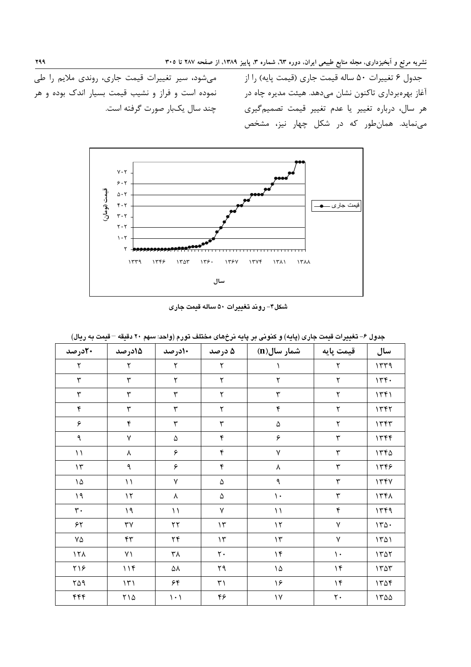جدول ۶ تغییرات ۵۰ ساله قیمت جاری (قیمت پایه) را از آغاز بهرهبرداری تاکنون نشان میدهد. هیئت مدیره چاه در مسمت نموده است و فراز و نشیب قیمت بسیار اندک بوده و هر هر سال، درباره تغییر یا عدم تغییر قیمت تصمیمگیری میست چند سال یکبار صورت گرفته است. می نماید. همان طور که در شکل چهار نیز، مشخص

میشود، سیر تغییرات قیمت جاری، روندی ملایم را طی



شکل۴- روند تغییرات ۵۰ ساله قیمت جاری

| $\sim$ $\sim$ $\sim$ $\sim$ | $\sim$ $\sim$ $\sim$ $\sim$ | $\rightarrow$ $\rightarrow$ $\rightarrow$ |                         |                           |                      | $\sim$ . |
|-----------------------------|-----------------------------|-------------------------------------------|-------------------------|---------------------------|----------------------|----------|
| ۲۰درصد                      | 15درصد                      | 10رصد                                     | ۵ درصد                  | شمار سال(n)               | قیمت پایه            | سال      |
| ٢                           | $\mathbf{\breve{v}}$        | $\mathbf{\breve{v}}$                      | ٢                       |                           | $\mathbf{\breve{Y}}$ | 1579     |
| $\mathbf{\breve{r}}$        | $\mathbf{\breve{r}}$        | $\mathbf{\breve{v}}$                      | ٢                       | $\mathbf{\breve{Y}}$      | ٢                    | 156.     |
| ٣                           | $\mathbf{\breve{r}}$        | $\mathbf{\breve{v}}$                      | $\mathbf{\breve{v}}$    | ٣                         | ٢                    | 1461     |
| $\mathbf{\acute{r}}$        | $\mathbf{\breve{r}}$        | $\mathbf{\breve{v}}$                      | ٢                       | ۴                         | ٢                    | 1777     |
| ۶                           | $\mathbf{\acute{r}}$        | $\mathbf{\breve{r}}$                      | $\mathbf{\breve{r}}$    | $\Delta$                  | ٢                    | 1757     |
| ٩                           | $\sqrt{}$                   | $\Delta$                                  | $\mathbf{\acute{r}}$    | ۶                         | ٣                    | 1756     |
| $\setminus$                 | $\pmb{\lambda}$             | ۶                                         | $\mathbf{\acute{r}}$    | $\mathsf{Y}$              | ٣                    | 1560     |
| $\gamma$                    | ٩                           | ۶                                         | ۴                       | $\pmb{\lambda}$           | ٣                    | 1555     |
| ١۵                          | $\setminus$                 | $\mathsf{Y}$                              | ۵                       | ٩                         | ٣                    | 1551     |
| $\mathsf{P}\mathsf{I}$      | $\gamma$                    | λ                                         | ۵                       | $\mathcal{N}$             | ٣                    | 1561     |
| $\mathbf{r}$ .              | ۱۹                          | $\setminus$                               | ٧                       | $\backslash$ $\backslash$ | ۴                    | 1449     |
| ۶۲                          | ٣٧                          | $\mathbf{r}$                              | $\mathcal{N}$           | $\mathcal{N}$             | ٧                    | 170.     |
| ٧۵                          | $\mathfrak{f}\mathfrak{r}$  | $\mathbf{Y} \mathbf{F}$                   | $\mathcal{N}$           | $\mathcal{N}$             | ٧                    | 1501     |
| 151                         | $\gamma$                    | ۳۸                                        | $\mathbf{\mathsf{y}}$ . | $\mathcal{M}$             | $\mathcal{L}$        | 1507     |
| ۲۱۶                         | 11f                         | ۵۸                                        | ۲۹                      | ١۵                        | $\gamma$             | 1505     |
| ۲۵۹                         | $\mathcal{N}$               | ۶۴                                        | ٣١                      | ۱۶                        | $\gamma$             | 140f     |
| ۴۴۴                         | $\gamma \wedge \Delta$      | $\backslash \cdot \backslash$             | ۴۶                      | $\backslash\!\!\vee$      | $\mathbf{r}$ .       | 1500     |

حدول ۶– تغيير ات قيمت جاري (بايه) و كنوني بر بايه نرخهاي مختلف تورم (واحد: سهم ۲۰ دقيقه – قيمت به ربال)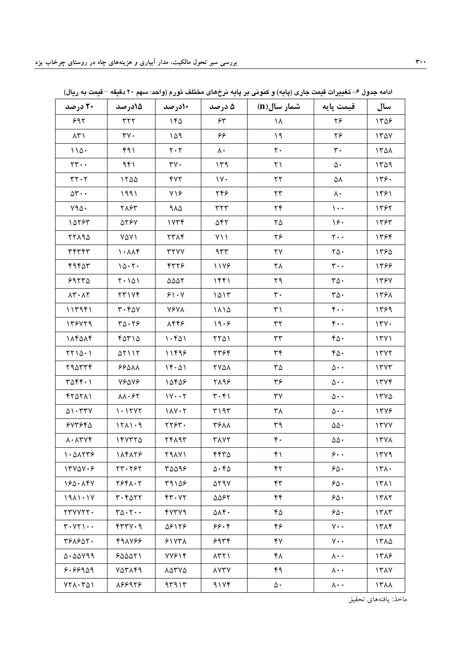| ۲۰ درصد                                            | 1۵در صد                               | 10رصد                                 | ۵ درصد                                     | شمار سال(n)             | قيمت پايه                               | سال              |
|----------------------------------------------------|---------------------------------------|---------------------------------------|--------------------------------------------|-------------------------|-----------------------------------------|------------------|
| 997                                                | ٣٢٢                                   | ۱۴۵                                   | ۶۳                                         | ١٨                      | ۲۶                                      | 1505             |
| $\Lambda \Upsilon$                                 | $\mathsf{r}\mathsf{v}\cdot$           | 109                                   | ۶۶                                         | $\lambda$               | ۲۶                                      | 170Y             |
| 110.                                               | ۴۹۱                                   | $\mathbf{Y} \cdot \mathbf{Y}$         | $\lambda$ .                                | $\mathbf{r}$ .          | ٣٠                                      | ١٣۵٨             |
| $\mathbf{r} \mathbf{r} \cdot \mathbf{r}$           | ۹۴۱                                   | $\mathbf{y} \mathbf{y}$ .             | ۱۳۹                                        | $\uparrow$ )            | $\Delta$ .                              | 1409             |
| $rr \cdot r$                                       | 1500                                  | YY                                    | $\gamma$                                   | $\mathbf{Y}\mathbf{Y}$  | ۵۸                                      | 179.             |
| $\Delta \mathbf{Y} \cdot \cdot$                    | 1991                                  | $Y\$                                  | ۲۴۶                                        | $\mathbf{r}$            | $\lambda$ .                             | ۱۳۶۱             |
| Y90.                                               | ٢٨۶٣                                  | ۹۸۵                                   | rrr                                        | ۲۴                      | $\mathcal{L}$ .                         | 1392             |
| 18785                                              | <b>ATSY</b>                           | 1Y5f                                  | ۵۴۲                                        | ۲۵                      | ۱۶۰                                     | ١٣۶٣             |
| 77194                                              | $Y\Delta Y$                           | <b>TTAF</b>                           | $Y \setminus \mathcal{A}$                  | ۲۶                      | $\mathbf{y} \cdot \mathbf{y}$           | 1384             |
| 34747                                              | 1.11                                  | <b>TYYY</b>                           | 977                                        | ۲۷                      | $\mathsf{Y}\Delta\cdot$                 | ١٣۶۵             |
| ۴۹۴۵۳                                              | 10.7.                                 | ۴۳۲۶                                  | 1178                                       | ۲۸                      | $\mathbf{r} \cdot \cdot$                | 1398             |
| 59770                                              | $Y \cdot 101$                         | $\triangle\triangle\triangle\Upsilon$ | ۱۴۴۱                                       | ۲۹                      | $r\Delta$ .                             | 1397             |
| $\lambda \mathbf{r} \cdot \lambda \mathbf{r}$      | 7٣١٧٤                                 | 51.4                                  | 1015                                       | $\mathbf{r}$ .          | $r\Delta$ .                             | 1391             |
| 111991                                             | $r \cdot r \Delta V$                  | <b>V۶VA</b>                           | ١٨١۵                                       | $\uparrow\uparrow$      | $\mathfrak{f}\cdot\cdot$                | ۱۳۶۹             |
| 179479                                             | $\mathbf{r}\mathbf{a}\cdot\mathbf{r}$ | 8448                                  | 19.9                                       | $\mathbf{r} \mathbf{r}$ | $\mathfrak{r}\cdot\cdot$                | 174.             |
| 114014                                             | ۴۵۳۱۵                                 | 1.501                                 | $\gamma\gamma\Delta$                       | $\mathbf{r}\mathbf{r}$  | $r_0$ .                                 | 17Y1             |
| $\Upsilon\Upsilon\setminus\Delta\cdot\ \Upsilon$   | $\Delta Y$ $\Delta Y$                 | 11498                                 | ٢٣۶۴                                       | $\tau\tau$              | $r_0$ .                                 | 1777             |
| <b>798774</b>                                      | <b>88011</b>                          | 15.01                                 | <b>YYAA</b>                                | ۳۵                      | $\Delta \cdot \cdot$                    | 1777             |
| $\Upsilon \Delta \Upsilon \Upsilon \cdot \Upsilon$ | <b>VSAVS</b>                          | ١۵۴۵۶                                 | 7198                                       | ٣۶                      | $\Delta \cdot \cdot$                    | 1777             |
| 111111                                             | $\lambda\lambda\cdot\ell$ ٢           | $1Y \cdot Y$                          | $\mathbf{r} \cdot \mathbf{r}$              | ٣٧                      | $\Delta \cdot \cdot$                    | $17Y\Delta$      |
| 01.777                                             | 1.17Y                                 | $11Y \cdot Y$                         | ۳۱۹۳                                       | ٣٨                      | $\Delta \cdot \cdot$                    | 1378             |
| 547560                                             | 1511.9                                | ٢٢۶٣.                                 | <b>٣۶٨٨</b>                                | ٣٩                      | $\Delta\Delta$ .                        | 17YY             |
| $\lambda \cdot \lambda \Upsilon \Upsilon \Upsilon$ | 150770                                | ٢۴٨٩٣                                 | <b>TAYY</b>                                | $\mathfrak{r}$ .        | $\Delta\Delta$ .                        | 17Y <sub>A</sub> |
| 1.01179                                            | 184878                                | 791Y)                                 | ۴۴۳۵                                       | ۴۱                      | $\mathbf{\hat{z}}\cdot\mathbf{\hat{z}}$ | ۱۳۷۹             |
| $17Y\Delta V \cdot F$                              | ٢٣٠٢۶٢                                | ۳۵۵۹۶                                 | $\Delta \cdot 50$                          | ۴٢                      | 50.                                     | 171.             |
| 180.147                                            | 7941.7                                | ۳۹۱۵۶                                 | ۵۲۹۷                                       | $\mathsf{f}\mathsf{r}$  | 50.                                     | 1511             |
| 1911.1Y                                            | $r \cdot r \Delta r r$                | FT.77                                 | ۵۵۶۲                                       | ۴۴                      | 50.                                     | 1517             |
| YTYYYTY.                                           | $r_0 \cdots$                          | 47779                                 | ۵۸۴۰                                       | ۴۵                      | ۶۵۰                                     | 1517             |
| $Y \cdot YY \cdot \cdot$                           | FTY.9                                 | 97186                                 | ۶۶۰۴                                       | ۴۶                      | $\mathsf{v}\cdot\mathsf{v}$             | ۱۳۸۴             |
| ٣۶٨۶۵٢٠                                            | 498769                                | 51YY                                  | ۶۹۳۴                                       | ۴٧                      | $\mathsf{v}\cdot\mathsf{v}$             | ١٣٨۵             |
| 0.00199                                            | 50001                                 | <b>YYS14</b>                          | $\Lambda$ $\uparrow$ $\uparrow$ $\uparrow$ | ۴۸                      | $\lambda \cdot \cdot$                   | 1318             |
| 8.88909                                            | <b>VATAF9</b>                         | 10770                                 | <b>AYTY</b>                                | ۴۹                      | $\lambda \cdot \cdot$                   | 1317             |
| YYVYY                                              | 888928                                | 97917                                 | 91Yf                                       | $\Delta$ .              | $\lambda \cdot \cdot$                   | 1711             |

ادامه جدول ۶– تغییرات قیمت جاری (پایه) و کنونی بر پایه نرخهای مختلف تورم (واحد: سهم ۲۰ دقیقه – قیمت به ریال)

ماخذ: يافتههاي تحقيق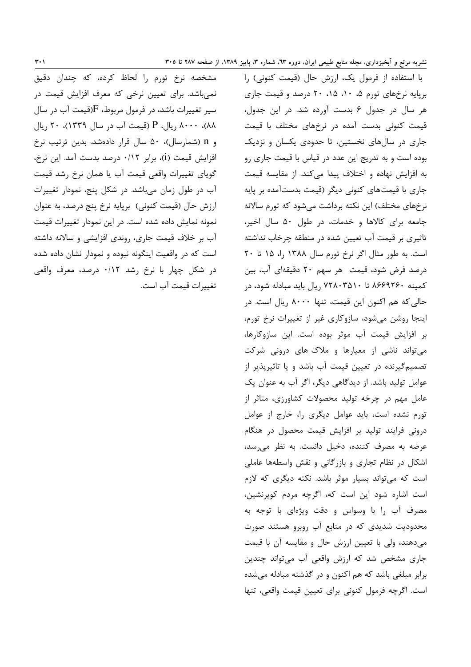با استفاده از فرمول یک، ارزش حال (قیمت کنونی) را برپایه نرخهای تورم ۰۱، ۰۱۵، ۲۰ درصد و قیمت جاری هر سال در جدول ۶ بدست آورده شد. در این جدول، قیمت کنونی بدست آمده در نرخهای مختلف با قیمت جاری در سالهای نخستین، تا حدودی یکسان و نزدیک بوده است و به تدریج این عدد در قیاس با قیمت جاری رو به افزایش نهاده و اختلاف پیدا میکند. از مقایسه قیمت جاری با قیمتهای کنونی دیگر (قیمت بدستآمده بر پایه نرخهای مختلف) این نکته برداشت می شود که تورم سالانه جامعه برای کالاها و خدمات، در طول ۵۰ سال اخیر، تاثیری بر قیمت آب تعیین شده در منطقه چرخاب نداشته است. به طور مثال اگر نرخ تورم سال ۱۳۸۸ را، ۱۵ تا ۲۰ درصد فرض شود، قیمت هر سهم ۲۰ دقیقهای آب، بین کمینه ۸۶۶۹۲۶۰ تا ۷۲۸۰۳۵۱۰ ریال باید مبادله شود، در حالي كه هم اكنون اين قيمت، تنها ٨٠٠٠ ريال است. در اینجا روشن می شود، سازوکاری غیر از تغییرات نرخ تورم، بر افزایش قیمت آب موثر بوده است. این سازوکارها، می تواند ناشی از معیارها و ملاک های درونی شرکت تصمیمگیرنده در تعیین قیمت آب باشد و یا تاثیرپذیر از عوامل تولید باشد. از دیدگاهی دیگر، اگر آب به عنوان یک عامل مهم در چرخه تولید محصولات کشاورزی، متاثر از تورم نشده است، باید عوامل دیگری را، خارج از عوامل درونی فرایند تولید بر افزایش قیمت محصول در هنگام عرضه به مصرف کننده، دخیل دانست. به نظر می رسد، اشکال در نظام تجاری و بازرگانی و نقش واسطهها عاملی است که میتواند بسیار موثر باشد. نکته دیگری که لازم است اشاره شود این است که، اگرچه مردم کویرنشین، مصرف آب را با وسواس و دقت ویژهای با توجه به محدودیت شدیدی که در منابع آب روبرو هستند صورت میدهند، ولی با تعیین ارزش حال و مقایسه آن با قیمت جاری مشخص شد که ارزش واقعی آب می تواند چندین برابر مبلغی باشد که هم اکنون و در گذشته مبادله می شده است. اگرچه فرمول كنوني براي تعيين قيمت واقعي، تنها

مشخصه نرخ تورم را لحاظ کرده، که چندان دقیق نمی باشد. برای تعیین نرخی که معرف افزایش قیمت در سیر تغییرات باشد، در فرمول مربوط،  $F$ (قیمت آب در سال ٨٨)، ٨٠٠٠ ريال، P (قيمت آب در سال ١٣٣٩)، ٢٠ ريال و n (شمارسال)، ۵۰ سال قرار دادهشد. بدین ترتیب نرخ افزايش قيمت (i)، برابر ٠/١٢ درصد بدست آمد. اين نرخ، گویای تغییرات واقعی قیمت آب یا همان نرخ رشد قیمت آب در طول زمان می باشد. در شکل پنج، نمودار تغییرات ارزش حال (قیمت کنونی) برپایه نرخ پنج درصد، به عنوان نمونه نمایش داده شده است. در این نمودار تغییرات قیمت آب بر خلاف قیمت جاری، روندی افزایشی و سالانه داشته است که در واقعیت اینگونه نبوده و نمودار نشان داده شده در شکل چهار با نرخ رشد ۰/۱۲ درصد، معرف واقعی تغييرات قيمت آب است.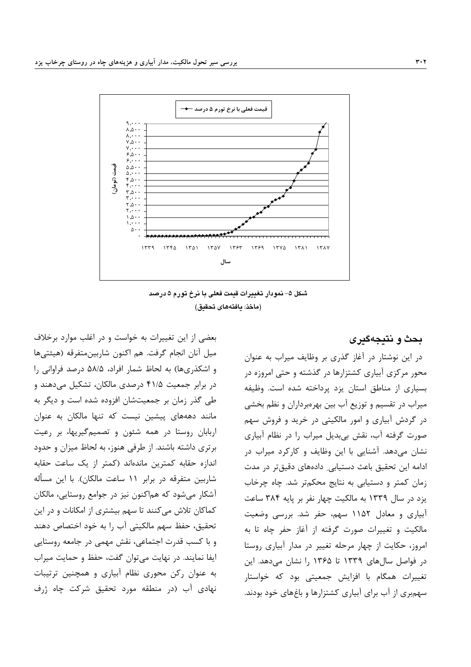

شکل ۵– نمودار تغییرات قیمت فعلی با نرخ تورم ۵ درصد (ماخذ: يافتههاى تحقيق)

بعضی از این تغییرات به خواست و در اغلب موارد برخلاف ميل آنان انجام گرفت. هم اكنون شاربينمتفرقه (هيئتيها و اشكذرىها) به لحاظ شمار افراد، ۵۸/۵ درصد فراوانى را در برابر جمعیت ۴۱/۵ درصدی مالکان، تشکیل میدهند و طی گذر زمان بر جمعیتشان افزوده شده است و دیگر به مانند دهههای پیشین نیست که تنها مالکان به عنوان اربابان روستا در همه شئون و تصمیم گیریها، بر رعیت برتری داشته باشند. از طرفی هنوز، به لحاظ میزان و حدود اندازه حقابه کمترین ماندهاند (کمتر از یک ساعت حقابه شاربین متفرقه در برابر ۱۱ ساعت مالکان). با این مسأله آشکار می شود که هماکنون نیز در جوامع روستایی، مالکان کماکان تلاش می کنند تا سهم بیشتری از امکانات و در این تحقيق، حفظ سهم مالكيتي آب را به خود اختصاص دهند و با کسب قدرت اجتماعی، نقش مهمی در جامعه روستایی ایفا نمایند. در نهایت میتوان گفت، حفظ و حمایت میراب به عنوان رکن محوری نظام آبیاری و همچنین ترتیبات نهادی آب (در منطقه مورد تحقیق شرکت چاه ژرف

در این نوشتار در آغاز گذری بر وظایف میراب به عنوان محور مرکزی آبیاری کشتزارها در گذشته و حتی امروزه در بسياري از مناطق استان يزد يرداخته شده است. وظيفه میراب در تقسیم و توزیع آب بین بهرهبرداران و نظم بخشی در گردش آبیاری و امور مالکیتی در خرید و فروش سهم صورت گرفته آب، نقش بی بدیل میراب را در نظام آبیاری نشان میدهد. آشنایی با این وظایف و کارکرد میراب در ادامه این تحقیق باعث دستیابی دادههای دقیقتر در مدت زمان کمتر و دستیابی به نتایج محکمتر شد. چاه چرخاب يزد در سال ١٣٣٩ به مالكيت چهار نفر بر پايه ٣٨۴ ساعت آبیاری و معادل ۱۱۵۲ سهم، حفر شد. بررسی وضعیت مالکیت و تغییرات صورت گرفته از آغاز حفر چاه تا به امروز، حکایت از چهار مرحله تغییر در مدار آبیاری روستا در فواصل سال های ۱۳۳۹ تا ۱۳۶۵ ,ا نشان می دهد. این تغییرات همگام با افزایش جمعیتی بود که خواستار سهم,بری از آب برای آبیاری کشتزارها و باغهای خود بودند.

بحث و نتيجهگيرى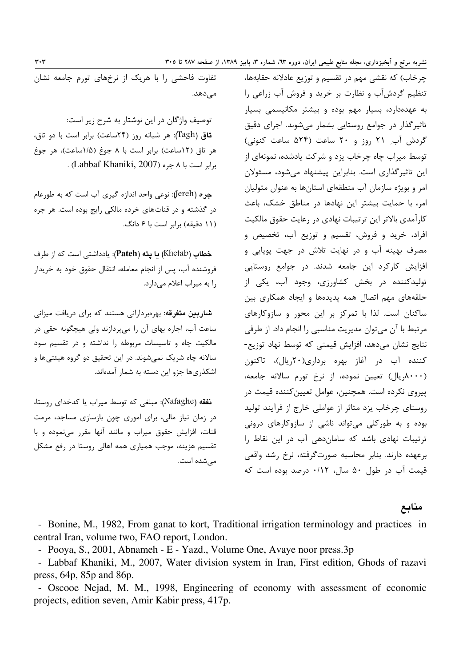چرخاب) که نقشی مهم در تقسیم و توزیع عادلانه حقابهها، تنظیم گردشآب و نظارت بر خرید و فروش آب زراعی را به عهدهدارد، بسیار مهم بوده و بیشتر مکانیسمی بسیار تاثیرگذار در جوامع روستایی بشمار میشوند. اجرای دقیق گردش آب ۲۱ روز و ۲۰ ساعت (۵۲۴ ساعت کنونی) توسط میراب چاه چرخاب یزد و شرکت یادشده، نمونهای از این تاثیرگذاری است. بنابراین پیشنهاد میشود، مسئولان امر و بویژه سازمان آب منطقهای استانها به عنوان متولیان امر، با حمایت بیشتر این نهادها در مناطق خشک، باعث كارآمدي بالاتر اين ترتيبات نهادي در رعايت حقوق مالكيت افراد، خرید و فروش، تقسیم و توزیع آب، تخصیص و مصرف بهينه آب و در نهايت تلاش در جهت پويايي و افزایش کارکرد این جامعه شدند. در جوامع روستایی تولیدکننده در بخش کشاورزی، وجود آب، یکی از حلقههای مهم اتصال همه پدیدهها و ایجاد همکاری بین ساکنان است. لذا با تمرکز بر این محور و سازوکارهای مرتبط با آن می توان مدیریت مناسبی را انجام داد. از طرفی نتايج نشان مى دهد، افزايش قيمتى كه توسط نهاد توزيع-کننده آب در آغاز بهره برداری(۲۰ریال)، تاکنون (۸۰۰۰,ریال) تعیین نموده، از نرخ تورم سالانه جامعه، پیروی نکرده است. همچنین، عوامل تعیین کننده قیمت در روستای چرخاب پزد متاثر از عواملی خارج از فرآیند تولید بوده و به طورکلی می تواند ناشی از سازوکارهای درونی ترتیبات نهادی باشد که ساماندهی آب در این نقاط را برعهده دارند. بنابر محاسبه صورتگرفته، نرخ رشد واقعی قیمت آب در طول ۵۰ سال، ۰/۱۲ درصد بوده است که

مناىع

- Bonine, M., 1982, From ganat to kort, Traditional irrigation terminology and practices in central Iran, volume two, FAO report, London.

- Pooya, S., 2001, Abnameh - E - Yazd., Volume One, Avaye noor press.3p

- Labbaf Khaniki, M., 2007, Water division system in Iran, First edition, Ghods of razavi press,  $64p$ ,  $85p$  and  $86p$ .

- Oscooe Nejad, M. M., 1998, Engineering of economy with assessment of economic projects, edition seven, Amir Kabir press, 417p.

تفاوت فاحشی را با هریک از نرخهای تورم جامعه نشان مے زدھد.

توصیف واژگان در این نوشتار به شرح زیر است: قاق (Tagh): هر شبانه روز (۲۴ساعت) برابر است با دو تاق، هر تاق (١٢ساعت) برابر است با ٨ جوغ (١/٥ساعت)، هر جوغ . (Labbaf Khaniki, 2007) برابر است با ٨ جره (Labbaf Khaniki, 2007)

جره (Jereh): نوعي واحد اندازه گيري آب است كه به طورعام در گذشته و در قناتهای خرده مالکی رایج بوده است. هر جره (١١ دقيقه) برابر است يا ۶ دانگ.

خطاب (Khetab) یا یته (Pateh): یادداشتی است که از طرف فروشنده آب، پس از انجام معامله، انتقال حقوق خود به خريدار را به میراب اعلام مے دارد.

**شاربین متفرقه**: بهرهبردارانی هستند که برای دریافت میزانی ساعت آب، اجاره بهای آن را میپردازند ولی هیچگونه حقی در .<br>مالکیت چاه و تاسیسات مربوطه را نداشته و در تقسیم سود سالانه چاه شریک نمیشوند. در این تحقیق دو گروه هیئتیها و اشکذریها جزو این دسته به شمار آمدهاند.

نفقه (Nafaghe): مبلغی که توسط میراب یا کدخدای روستا، در زمان نیاز مالی، برای اموری چون بازسازی مساجد، مرمت قنات، افزایش حقوق میراب و مانند آنها مقرر مینموده و با تقسیم هزینه، موجب همیاری همه اهالی روستا در رفع مشکل می شده است.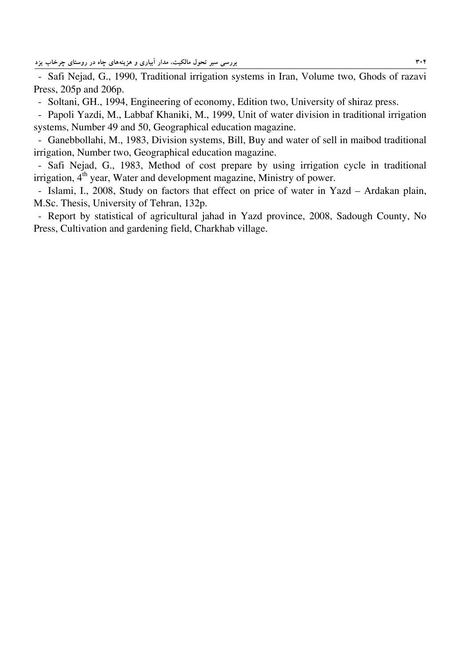- Safi Nejad, G., 1990, Traditional irrigation systems in Iran, Volume two, Ghods of razavi Press, 205p and 206p.

- Soltani, GH., 1994, Engineering of economy, Edition two, University of shiraz press.

- Papoli Yazdi, M., Labbaf Khaniki, M., 1999, Unit of water division in traditional irrigation systems, Number 49 and 50, Geographical education magazine.

- Ganebbollahi, M., 1983, Division systems, Bill, Buy and water of sell in maibod traditional irrigation, Number two, Geographical education magazine.

- Safi Nejad, G., 1983, Method of cost prepare by using irrigation cycle in traditional  $irrigation, 4<sup>th</sup> year, Water and development magazine, Ministry of power.$ 

- Islami, I., 2008, Study on factors that effect on price of water in Yazd – Ardakan plain, M.Sc. Thesis, University of Tehran, 132p.

- Report by statistical of agricultural jahad in Yazd province, 2008, Sadough County, No Press, Cultivation and gardening field, Charkhab village.